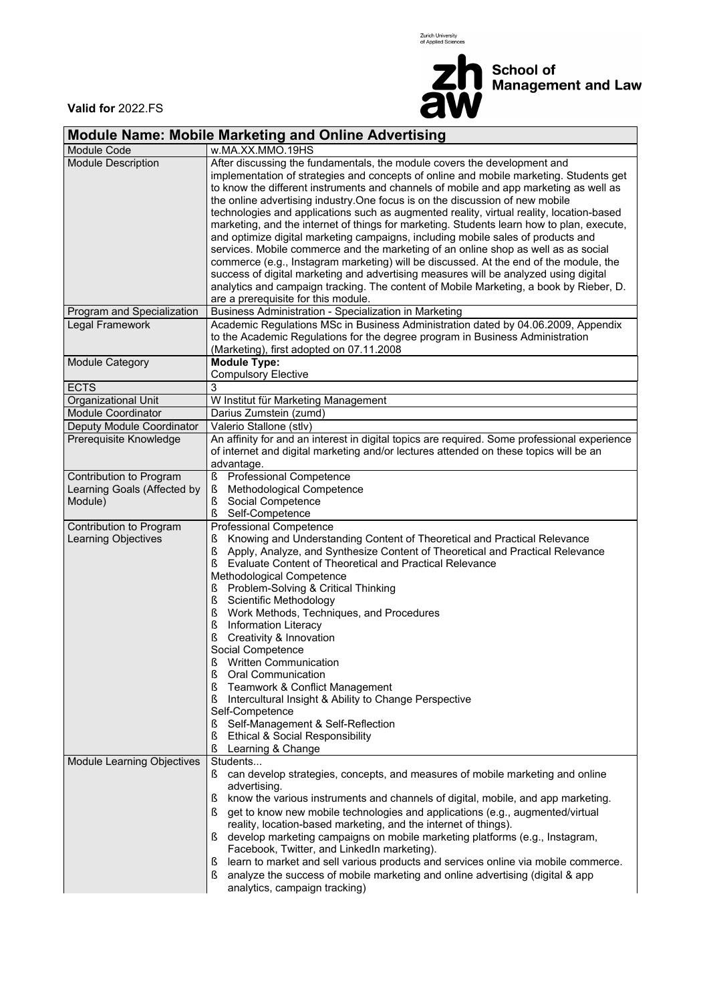Zurich University<br>of Applied Sciences



School of<br>Management and Law

**Valid for** 2022.FS

## **Module Name: Mobile Marketing and Online Advertising**

| Module Code                       | w.MA.XX.MMO.19HS                                                                                                    |
|-----------------------------------|---------------------------------------------------------------------------------------------------------------------|
| <b>Module Description</b>         | After discussing the fundamentals, the module covers the development and                                            |
|                                   | implementation of strategies and concepts of online and mobile marketing. Students get                              |
|                                   | to know the different instruments and channels of mobile and app marketing as well as                               |
|                                   | the online advertising industry. One focus is on the discussion of new mobile                                       |
|                                   | technologies and applications such as augmented reality, virtual reality, location-based                            |
|                                   | marketing, and the internet of things for marketing. Students learn how to plan, execute,                           |
|                                   | and optimize digital marketing campaigns, including mobile sales of products and                                    |
|                                   | services. Mobile commerce and the marketing of an online shop as well as as social                                  |
|                                   | commerce (e.g., Instagram marketing) will be discussed. At the end of the module, the                               |
|                                   | success of digital marketing and advertising measures will be analyzed using digital                                |
|                                   | analytics and campaign tracking. The content of Mobile Marketing, a book by Rieber, D.                              |
|                                   | are a prerequisite for this module.                                                                                 |
| Program and Specialization        | Business Administration - Specialization in Marketing                                                               |
| Legal Framework                   | Academic Regulations MSc in Business Administration dated by 04.06.2009, Appendix                                   |
|                                   | to the Academic Regulations for the degree program in Business Administration                                       |
|                                   | (Marketing), first adopted on 07.11.2008<br><b>Module Type:</b>                                                     |
| Module Category                   | <b>Compulsory Elective</b>                                                                                          |
| <b>ECTS</b>                       | 3                                                                                                                   |
| Organizational Unit               | W Institut für Marketing Management                                                                                 |
| <b>Module Coordinator</b>         | Darius Zumstein (zumd)                                                                                              |
| Deputy Module Coordinator         | Valerio Stallone (stlv)                                                                                             |
| Prerequisite Knowledge            | An affinity for and an interest in digital topics are required. Some professional experience                        |
|                                   | of internet and digital marketing and/or lectures attended on these topics will be an                               |
|                                   | advantage.                                                                                                          |
| Contribution to Program           | $\S$<br>Professional Competence                                                                                     |
| Learning Goals (Affected by       | Methodological Competence<br>ş                                                                                      |
| Module)                           | Social Competence<br>ş                                                                                              |
|                                   | ş<br>Self-Competence                                                                                                |
| Contribution to Program           | Professional Competence                                                                                             |
| Learning Objectives               | Knowing and Understanding Content of Theoretical and Practical Relevance<br>ş                                       |
|                                   | $\S$<br>Apply, Analyze, and Synthesize Content of Theoretical and Practical Relevance                               |
|                                   | Ş<br>Evaluate Content of Theoretical and Practical Relevance                                                        |
|                                   | Methodological Competence                                                                                           |
|                                   | Problem-Solving & Critical Thinking<br>S                                                                            |
|                                   | $\S$<br>Scientific Methodology                                                                                      |
|                                   | Ş<br>Work Methods, Techniques, and Procedures                                                                       |
|                                   | ş<br>Information Literacy                                                                                           |
|                                   | Creativity & Innovation<br>ş                                                                                        |
|                                   | Social Competence                                                                                                   |
|                                   | Written Communication<br>ş                                                                                          |
|                                   | ş<br>Oral Communication                                                                                             |
|                                   | Teamwork & Conflict Management<br>ş                                                                                 |
|                                   | Intercultural Insight & Ability to Change Perspective<br>ş                                                          |
|                                   | Self-Competence                                                                                                     |
|                                   | Self-Management & Self-Reflection<br>S                                                                              |
|                                   | ş<br><b>Ethical &amp; Social Responsibility</b>                                                                     |
|                                   | ş<br>Learning & Change                                                                                              |
| <b>Module Learning Objectives</b> | Students                                                                                                            |
|                                   | can develop strategies, concepts, and measures of mobile marketing and online<br>advertising.                       |
|                                   | know the various instruments and channels of digital, mobile, and app marketing.<br>S                               |
|                                   | ş<br>get to know new mobile technologies and applications (e.g., augmented/virtual                                  |
|                                   | reality, location-based marketing, and the internet of things).                                                     |
|                                   |                                                                                                                     |
|                                   |                                                                                                                     |
|                                   | develop marketing campaigns on mobile marketing platforms (e.g., Instagram,                                         |
|                                   | Facebook, Twitter, and LinkedIn marketing).                                                                         |
|                                   | learn to market and sell various products and services online via mobile commerce.<br>S                             |
|                                   | analyze the success of mobile marketing and online advertising (digital & app<br>ş<br>analytics, campaign tracking) |